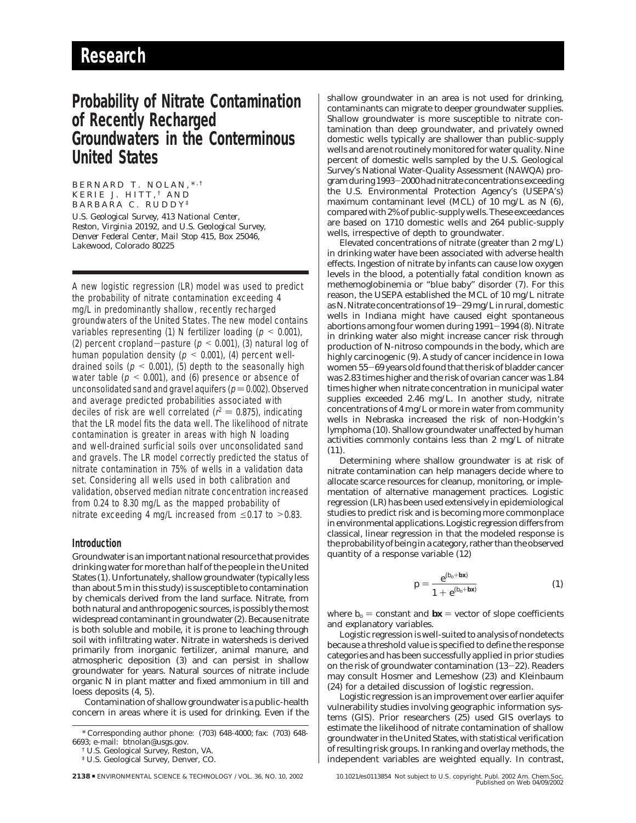# **Research**

## **Probability of Nitrate Contamination of Recently Recharged Groundwaters in the Conterminous United States**

BERNARD T. NOLAN,\* , † KERIE J. HITT, † AND BARBARA C. RUDDY ‡

*U.S. Geological Survey, 413 National Center, Reston, Virginia 20192, and U.S. Geological Survey, Denver Federal Center, Mail Stop 415, Box 25046, Lakewood, Colorado 80225*

A new logistic regression (LR) model was used to predict the probability of nitrate contamination exceeding 4 mg/L in predominantly shallow, recently recharged groundwaters of the United States. The new model contains variables representing (1) N fertilizer loading ( $p < 0.001$ ), (2) percent cropland-pasture ( $p < 0.001$ ), (3) natural log of human population density ( $p < 0.001$ ), (4) percent welldrained soils ( $p < 0.001$ ), (5) depth to the seasonally high water table ( $p < 0.001$ ), and (6) presence or absence of unconsolidated sand and gravel aquifers ( $p=0.002$ ). Observed and average predicted probabilities associated with deciles of risk are well correlated ( $t^2 = 0.875$ ), indicating<br>that the LR model fits the data well. The likelihood of nitrat that the LR model fits the data well. The likelihood of nitrate contamination is greater in areas with high N loading and well-drained surficial soils over unconsolidated sand and gravels. The LR model correctly predicted the status of nitrate contamination in 75% of wells in a validation data set. Considering all wells used in both calibration and validation, observed median nitrate concentration increased from 0.24 to 8.30 mg/L as the mapped probability of nitrate exceeding 4 mg/L increased from  $\leq 0.17$  to  $> 0.83$ .

### **Introduction**

Groundwater is an important national resource that provides drinking water for more than half of the people in the United States (*1*). Unfortunately, shallow groundwater (typically less than about 5 m in this study) is susceptible to contamination by chemicals derived from the land surface. Nitrate, from both natural and anthropogenic sources, is possibly the most widespread contaminant in groundwater (*2*). Because nitrate is both soluble and mobile, it is prone to leaching through soil with infiltrating water. Nitrate in watersheds is derived primarily from inorganic fertilizer, animal manure, and atmospheric deposition (*3*) and can persist in shallow groundwater for years. Natural sources of nitrate include organic N in plant matter and fixed ammonium in till and loess deposits (*4*, *5*).

Contamination of shallow groundwater is a public-health concern in areas where it is used for drinking. Even if the

† U.S. Geological Survey, Reston, VA.

shallow groundwater in an area is not used for drinking, contaminants can migrate to deeper groundwater supplies. Shallow groundwater is more susceptible to nitrate contamination than deep groundwater, and privately owned domestic wells typically are shallower than public-supply wells and are not routinely monitored for water quality. Nine percent of domestic wells sampled by the U.S. Geological Survey's National Water-Quality Assessment (NAWQA) program during 1993-2000 had nitrate concentrations exceeding the U.S. Environmental Protection Agency's (USEPA's) maximum contaminant level (MCL) of 10 mg/L as N (*6*), compared with 2% of public-supply wells. These exceedances are based on 1710 domestic wells and 264 public-supply wells, irrespective of depth to groundwater.

Elevated concentrations of nitrate (greater than 2 mg/L) in drinking water have been associated with adverse health effects. Ingestion of nitrate by infants can cause low oxygen levels in the blood, a potentially fatal condition known as methemoglobinemia or "blue baby" disorder (*7*). For this reason, the USEPA established the MCL of 10 mg/L nitrate as N. Nitrate concentrations of 19-29 mg/L in rural, domestic wells in Indiana might have caused eight spontaneous abortions among four women during 1991-1994 (*8*). Nitrate in drinking water also might increase cancer risk through production of *N*-nitroso compounds in the body, which are highly carcinogenic (*9*). A study of cancer incidence in Iowa women 55-69 years old found that the risk of bladder cancer was 2.83 times higher and the risk of ovarian cancer was 1.84 times higher when nitrate concentration in municipal water supplies exceeded 2.46 mg/L. In another study, nitrate concentrations of 4 mg/L or more in water from community wells in Nebraska increased the risk of non-Hodgkin's lymphoma (*10*). Shallow groundwater unaffected by human activities commonly contains less than 2 mg/L of nitrate (*11*).

Determining where shallow groundwater is at risk of nitrate contamination can help managers decide where to allocate scarce resources for cleanup, monitoring, or implementation of alternative management practices. Logistic regression (LR) has been used extensively in epidemiological studies to predict risk and is becoming more commonplace in environmental applications. Logistic regression differs from classical, linear regression in that the modeled response is the probability of being in a category, rather than the observed quantity of a response variable (*12*)

$$
p = \frac{e^{(b_0 + bx)}}{1 + e^{(b_0 + bx)}}\tag{1}
$$

where  $b_0$  = constant and  $\mathbf{bx}$  = vector of slope coefficients and explanatory variables.

Logistic regression is well-suited to analysis of nondetects because a threshold value is specified to define the response categories and has been successfully applied in prior studies on the risk of groundwater contamination (*13*-*22*). Readers may consult Hosmer and Lemeshow (*23*) and Kleinbaum (*24*) for a detailed discussion of logistic regression.

Logistic regression is an improvement over earlier aquifer vulnerability studies involving geographic information systems (GIS). Prior researchers (*25*) used GIS overlays to estimate the likelihood of nitrate contamination of shallow groundwater in the United States, with statistical verification of resulting risk groups. In ranking and overlay methods, the independent variables are weighted equally. In contrast,

<sup>\*</sup> Corresponding author phone: (703) 648-4000; fax: (703) 648- 6693; e-mail: btnolan@usgs.gov.

<sup>‡</sup> U.S. Geological Survey, Denver, CO.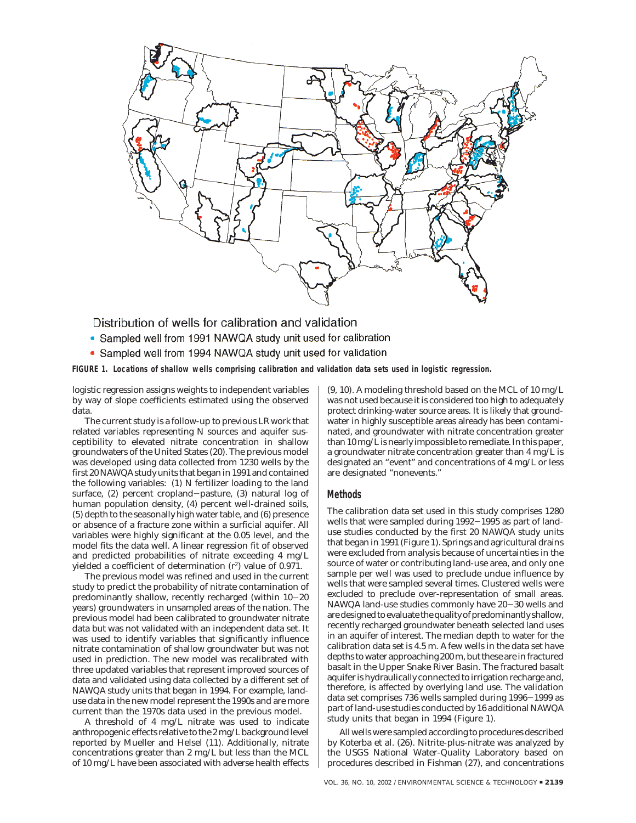

Distribution of wells for calibration and validation

- Sampled well from 1991 NAWQA study unit used for calibration
- Sampled well from 1994 NAWQA study unit used for validation

**FIGURE 1. Locations of shallow wells comprising calibration and validation data sets used in logistic regression.**

logistic regression assigns weights to independent variables by way of slope coefficients estimated using the observed data.

The current study is a follow-up to previous LR work that related variables representing N sources and aquifer susceptibility to elevated nitrate concentration in shallow groundwaters of the United States (*20*). The previous model was developed using data collected from 1230 wells by the first 20 NAWQA study units that began in 1991 and contained the following variables: (1) N fertilizer loading to the land surface, (2) percent cropland-pasture, (3) natural log of human population density, (4) percent well-drained soils, (5) depth to the seasonally high water table, and (6) presence or absence of a fracture zone within a surficial aquifer. All variables were highly significant at the 0.05 level, and the model fits the data well. A linear regression fit of observed and predicted probabilities of nitrate exceeding 4 mg/L yielded a coefficient of determination (*r*2) value of 0.971.

The previous model was refined and used in the current study to predict the probability of nitrate contamination of predominantly shallow, recently recharged (within 10-<sup>20</sup> years) groundwaters in unsampled areas of the nation. The previous model had been calibrated to groundwater nitrate data but was not validated with an independent data set. It was used to identify variables that significantly influence nitrate contamination of shallow groundwater but was not used in prediction. The new model was recalibrated with three updated variables that represent improved sources of data and validated using data collected by a different set of NAWQA study units that began in 1994. For example, landuse data in the new model represent the 1990s and are more current than the 1970s data used in the previous model.

A threshold of 4 mg/L nitrate was used to indicate anthropogenic effects relative to the 2 mg/L background level reported by Mueller and Helsel (*11*). Additionally, nitrate concentrations greater than 2 mg/L but less than the MCL of 10 mg/L have been associated with adverse health effects

(*9*, *10*). A modeling threshold based on the MCL of 10 mg/L was not used because it is considered too high to adequately protect drinking-water source areas. It is likely that groundwater in highly susceptible areas already has been contaminated, and groundwater with nitrate concentration greater than 10 mg/L is nearly impossible to remediate. In this paper, a groundwater nitrate concentration greater than 4 mg/L is designated an "event" and concentrations of 4 mg/L or less are designated "nonevents."

#### **Methods**

The calibration data set used in this study comprises 1280 wells that were sampled during 1992-1995 as part of landuse studies conducted by the first 20 NAWQA study units that began in 1991 (Figure 1). Springs and agricultural drains were excluded from analysis because of uncertainties in the source of water or contributing land-use area, and only one sample per well was used to preclude undue influence by wells that were sampled several times. Clustered wells were excluded to preclude over-representation of small areas. NAWQA land-use studies commonly have 20-30 wells and are designed to evaluate the quality of predominantly shallow, recently recharged groundwater beneath selected land uses in an aquifer of interest. The median depth to water for the calibration data set is 4.5 m. A few wells in the data set have depths to water approaching 200 m, but these are in fractured basalt in the Upper Snake River Basin. The fractured basalt aquifer is hydraulically connected to irrigation recharge and, therefore, is affected by overlying land use. The validation data set comprises 736 wells sampled during 1996-1999 as part of land-use studies conducted by 16 additional NAWQA study units that began in 1994 (Figure 1).

All wells were sampled according to procedures described by Koterba et al. (*26*). Nitrite-plus-nitrate was analyzed by the USGS National Water-Quality Laboratory based on procedures described in Fishman (*27*), and concentrations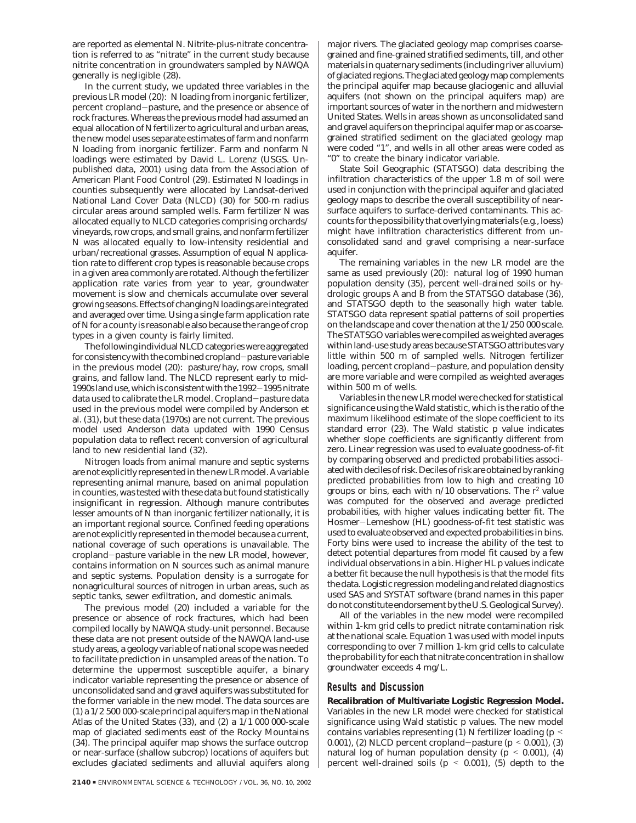are reported as elemental N. Nitrite-plus-nitrate concentration is referred to as "nitrate" in the current study because nitrite concentration in groundwaters sampled by NAWQA generally is negligible (*28*).

In the current study, we updated three variables in the previous LR model (*20*): N loading from inorganic fertilizer, percent cropland-pasture, and the presence or absence of rock fractures. Whereas the previous model had assumed an equal allocation of N fertilizer to agricultural and urban areas, the new model uses separate estimates of farm and nonfarm N loading from inorganic fertilizer. Farm and nonfarm N loadings were estimated by David L. Lorenz (USGS. Unpublished data, 2001) using data from the Association of American Plant Food Control (*29*). Estimated N loadings in counties subsequently were allocated by Landsat-derived National Land Cover Data (NLCD) (*30*) for 500-m radius circular areas around sampled wells. Farm fertilizer N was allocated equally to NLCD categories comprising orchards/ vineyards, row crops, and small grains, and nonfarm fertilizer N was allocated equally to low-intensity residential and urban/recreational grasses. Assumption of equal N application rate to different crop types is reasonable because crops in a given area commonly are rotated. Although the fertilizer application rate varies from year to year, groundwater movement is slow and chemicals accumulate over several growing seasons. Effects of changing N loadings are integrated and averaged over time. Using a single farm application rate of N for a county is reasonable also because the range of crop types in a given county is fairly limited.

The following individual NLCD categories were aggregated for consistency with the combined cropland-pasture variable in the previous model (*20*): pasture/hay, row crops, small grains, and fallow land. The NLCD represent early to mid-1990s land use, which is consistent with the 1992-1995 nitrate data used to calibrate the LR model. Cropland-pasture data used in the previous model were compiled by Anderson et al. (*31*), but these data (1970s) are not current. The previous model used Anderson data updated with 1990 Census population data to reflect recent conversion of agricultural land to new residential land (*32*).

Nitrogen loads from animal manure and septic systems are not explicitly represented in the new LR model. A variable representing animal manure, based on animal population in counties, was tested with these data but found statistically insignificant in regression. Although manure contributes lesser amounts of N than inorganic fertilizer nationally, it is an important regional source. Confined feeding operations are not explicitly represented in the model because a current, national coverage of such operations is unavailable. The cropland-pasture variable in the new LR model, however, contains information on N sources such as animal manure and septic systems. Population density is a surrogate for nonagricultural sources of nitrogen in urban areas, such as septic tanks, sewer exfiltration, and domestic animals.

The previous model (*20*) included a variable for the presence or absence of rock fractures, which had been compiled locally by NAWQA study-unit personnel. Because these data are not present outside of the NAWQA land-use study areas, a geology variable of national scope was needed to facilitate prediction in unsampled areas of the nation. To determine the uppermost susceptible aquifer, a binary indicator variable representing the presence or absence of unconsolidated sand and gravel aquifers was substituted for the former variable in the new model. The data sources are (1) a 1/2 500 000-scale principal aquifers map in the National Atlas of the United States (*33*), and (2) a 1/1 000 000-scale map of glaciated sediments east of the Rocky Mountains (*34*). The principal aquifer map shows the surface outcrop or near-surface (shallow subcrop) locations of aquifers but excludes glaciated sediments and alluvial aquifers along major rivers. The glaciated geology map comprises coarsegrained and fine-grained stratified sediments, till, and other materials in quaternary sediments (including river alluvium) of glaciated regions. The glaciated geology map complements the principal aquifer map because glaciogenic and alluvial aquifers (not shown on the principal aquifers map) are important sources of water in the northern and midwestern United States. Wells in areas shown as unconsolidated sand and gravel aquifers on the principal aquifer map or as coarsegrained stratified sediment on the glaciated geology map were coded "1", and wells in all other areas were coded as "0" to create the binary indicator variable.

State Soil Geographic (STATSGO) data describing the infiltration characteristics of the upper 1.8 m of soil were used in conjunction with the principal aquifer and glaciated geology maps to describe the overall susceptibility of nearsurface aquifers to surface-derived contaminants. This accounts for the possibility that overlying materials (e.g., loess) might have infiltration characteristics different from unconsolidated sand and gravel comprising a near-surface aquifer.

The remaining variables in the new LR model are the same as used previously (*20*): natural log of 1990 human population density (*35*), percent well-drained soils or hydrologic groups A and B from the STATSGO database (*36*), and STATSGO depth to the seasonally high water table. STATSGO data represent spatial patterns of soil properties on the landscape and cover the nation at the 1/250 000 scale. The STATSGO variables were compiled as weighted averages within land-use study areas because STATSGO attributes vary little within 500 m of sampled wells. Nitrogen fertilizer loading, percent cropland-pasture, and population density are more variable and were compiled as weighted averages within 500 m of wells.

Variables in the new LR model were checked for statistical significance using the Wald statistic, which is the ratio of the maximum likelihood estimate of the slope coefficient to its standard error (*23*). The Wald statistic *p* value indicates whether slope coefficients are significantly different from zero. Linear regression was used to evaluate goodness-of-fit by comparing observed and predicted probabilities associated with deciles of risk. Deciles of risk are obtained by ranking predicted probabilities from low to high and creating 10 groups or bins, each with *n*/10 observations. The *r*<sup>2</sup> value was computed for the observed and average predicted probabilities, with higher values indicating better fit. The Hosmer-Lemeshow (HL) goodness-of-fit test statistic was used to evaluate observed and expected probabilities in bins. Forty bins were used to increase the ability of the test to detect potential departures from model fit caused by a few individual observations in a bin. Higher HL *p* values indicate a better fit because the null hypothesis is that the model fits the data. Logistic regression modeling and related diagnostics used SAS and SYSTAT software (brand names in this paper do not constitute endorsement by the U.S. Geological Survey).

All of the variables in the new model were recompiled within 1-km grid cells to predict nitrate contamination risk at the national scale. Equation 1 was used with model inputs corresponding to over 7 million 1-km grid cells to calculate the probability for each that nitrate concentration in shallow groundwater exceeds 4 mg/L.

#### **Results and Discussion**

**Recalibration of Multivariate Logistic Regression Model.** Variables in the new LR model were checked for statistical significance using Wald statistic *p* values. The new model contains variables representing (1) N fertilizer loading (*<sup>p</sup>* < 0.001), (2) NLCD percent cropland-pasture (*<sup>p</sup>* < 0.001), (3) natural log of human population density ( $p < 0.001$ ), (4) percent well-drained soils  $(p < 0.001)$ , (5) depth to the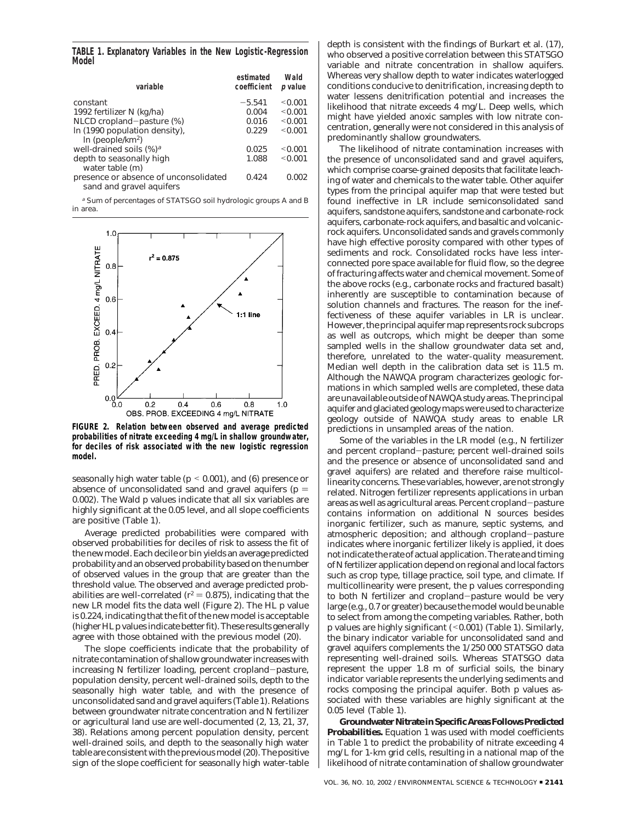#### **TABLE 1. Explanatory Variables in the New Logistic-Regression Model**

| variable                                                          | estimated<br>coefficient | Wald<br>p value |
|-------------------------------------------------------------------|--------------------------|-----------------|
| constant                                                          | $-5.541$                 | < 0.001         |
| 1992 fertilizer N (kg/ha)                                         | 0.004                    | < 0.001         |
| NLCD cropland-pasture (%)                                         | 0.016                    | < 0.001         |
| In (1990 population density),<br>In (people/ $km^2$ )             | 0.229                    | < 0.001         |
| well-drained soils (%) <sup>a</sup>                               | 0.025                    | < 0.001         |
| depth to seasonally high<br>water table (m)                       | 1.088                    | < 0.001         |
| presence or absence of unconsolidated<br>sand and gravel aguifers | 0.424                    | 0.002           |

<sup>a</sup> Sum of percentages of STATSGO soil hydrologic groups A and B in area.



**FIGURE 2. Relation between observed and average predicted probabilities of nitrate exceeding 4 mg/L in shallow groundwater, for deciles of risk associated with the new logistic regression model.**

seasonally high water table (*<sup>p</sup>* < 0.001), and (6) presence or absence of unconsolidated sand and gravel aquifers ( $p =$ 0.002). The Wald *p* values indicate that all six variables are highly significant at the 0.05 level, and all slope coefficients are positive (Table 1).

Average predicted probabilities were compared with observed probabilities for deciles of risk to assess the fit of the new model. Each decile or bin yields an average predicted probability and an observed probability based on the number of observed values in the group that are greater than the threshold value. The observed and average predicted probabilities are well-correlated ( $r^2 = 0.875$ ), indicating that the new LR model fits the data well (Figure 2). The HL *p* value is 0.224, indicating that the fit of the new model is acceptable (higher HL*p* values indicate better fit). These results generally agree with those obtained with the previous model (*20*).

The slope coefficients indicate that the probability of nitrate contamination of shallow groundwater increases with increasing N fertilizer loading, percent cropland-pasture, population density, percent well-drained soils, depth to the seasonally high water table, and with the presence of unconsolidated sand and gravel aquifers (Table 1). Relations between groundwater nitrate concentration and N fertilizer or agricultural land use are well-documented (*2*, *13*, *21*, *37*, *38*). Relations among percent population density, percent well-drained soils, and depth to the seasonally high water table are consistent with the previous model (*20*). The positive sign of the slope coefficient for seasonally high water-table depth is consistent with the findings of Burkart et al. (*17*), who observed a positive correlation between this STATSGO variable and nitrate concentration in shallow aquifers. Whereas very shallow depth to water indicates waterlogged conditions conducive to denitrification, increasing depth to water lessens denitrification potential and increases the likelihood that nitrate exceeds 4 mg/L. Deep wells, which might have yielded anoxic samples with low nitrate concentration, generally were not considered in this analysis of predominantly shallow groundwaters.

The likelihood of nitrate contamination increases with the presence of unconsolidated sand and gravel aquifers, which comprise coarse-grained deposits that facilitate leaching of water and chemicals to the water table. Other aquifer types from the principal aquifer map that were tested but found ineffective in LR include semiconsolidated sand aquifers, sandstone aquifers, sandstone and carbonate-rock aquifers, carbonate-rock aquifers, and basaltic and volcanicrock aquifers. Unconsolidated sands and gravels commonly have high effective porosity compared with other types of sediments and rock. Consolidated rocks have less interconnected pore space available for fluid flow, so the degree of fracturing affects water and chemical movement. Some of the above rocks (e.g., carbonate rocks and fractured basalt) inherently are susceptible to contamination because of solution channels and fractures. The reason for the ineffectiveness of these aquifer variables in LR is unclear. However, the principal aquifer map represents rock subcrops as well as outcrops, which might be deeper than some sampled wells in the shallow groundwater data set and, therefore, unrelated to the water-quality measurement. Median well depth in the calibration data set is 11.5 m. Although the NAWQA program characterizes geologic formations in which sampled wells are completed, these data are unavailable outside of NAWQA study areas. The principal aquifer and glaciated geology maps were used to characterize geology outside of NAWQA study areas to enable LR predictions in unsampled areas of the nation.

Some of the variables in the LR model (e.g., N fertilizer and percent cropland-pasture; percent well-drained soils and the presence or absence of unconsolidated sand and gravel aquifers) are related and therefore raise multicollinearity concerns. These variables, however, are not strongly related. Nitrogen fertilizer represents applications in urban areas as well as agricultural areas. Percent cropland-pasture contains information on additional N sources besides inorganic fertilizer, such as manure, septic systems, and atmospheric deposition; and although cropland-pasture indicates where inorganic fertilizer likely is applied, it does not indicate the rate of actual application. The rate and timing of N fertilizer application depend on regional and local factors such as crop type, tillage practice, soil type, and climate. If multicollinearity were present, the *p* values corresponding to both N fertilizer and cropland-pasture would be very large (e.g., 0.7 or greater) because the model would be unable to select from among the competing variables. Rather, both *p* values are highly significant (<0.001) (Table 1). Similarly, the binary indicator variable for unconsolidated sand and gravel aquifers complements the 1/250 000 STATSGO data representing well-drained soils. Whereas STATSGO data represent the upper 1.8 m of surficial soils, the binary indicator variable represents the underlying sediments and rocks composing the principal aquifer. Both *p* values associated with these variables are highly significant at the 0.05 level (Table 1).

**Groundwater Nitrate in Specific Areas Follows Predicted Probabilities.** Equation 1 was used with model coefficients in Table 1 to predict the probability of nitrate exceeding 4 mg/L for 1-km grid cells, resulting in a national map of the likelihood of nitrate contamination of shallow groundwater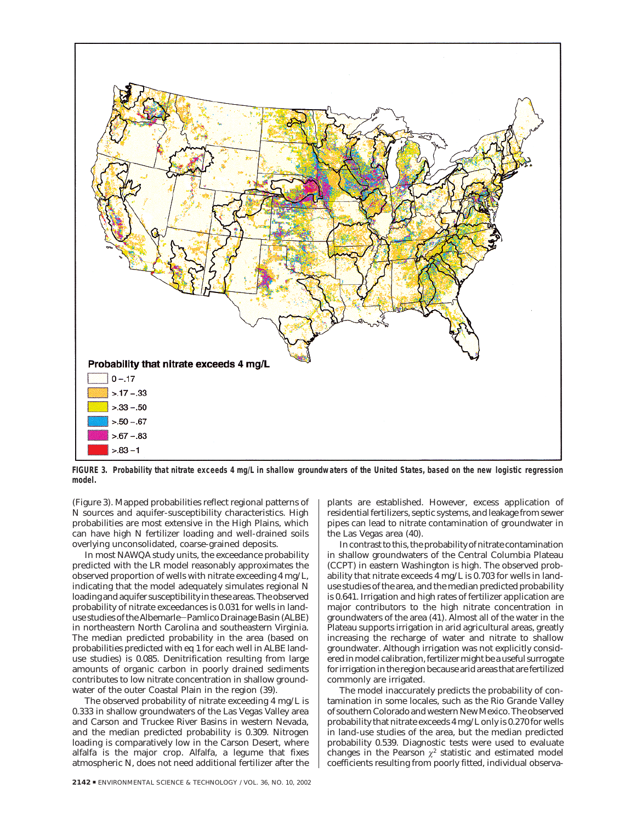

**FIGURE 3. Probability that nitrate exceeds 4 mg/L in shallow groundwaters of the United States, based on the new logistic regression model.**

(Figure 3). Mapped probabilities reflect regional patterns of N sources and aquifer-susceptibility characteristics. High probabilities are most extensive in the High Plains, which can have high N fertilizer loading and well-drained soils overlying unconsolidated, coarse-grained deposits.

In most NAWQA study units, the exceedance probability predicted with the LR model reasonably approximates the observed proportion of wells with nitrate exceeding 4 mg/L, indicating that the model adequately simulates regional N loading and aquifer susceptibility in these areas. The observed probability of nitrate exceedances is 0.031 for wells in landuse studies of the Albemarle-Pamlico Drainage Basin (ALBE) in northeastern North Carolina and southeastern Virginia. The median predicted probability in the area (based on probabilities predicted with eq 1 for each well in ALBE landuse studies) is 0.085. Denitrification resulting from large amounts of organic carbon in poorly drained sediments contributes to low nitrate concentration in shallow groundwater of the outer Coastal Plain in the region (*39*).

The observed probability of nitrate exceeding 4 mg/L is 0.333 in shallow groundwaters of the Las Vegas Valley area and Carson and Truckee River Basins in western Nevada, and the median predicted probability is 0.309. Nitrogen loading is comparatively low in the Carson Desert, where alfalfa is the major crop. Alfalfa, a legume that fixes atmospheric N, does not need additional fertilizer after the plants are established. However, excess application of residential fertilizers, septic systems, and leakage from sewer pipes can lead to nitrate contamination of groundwater in the Las Vegas area (*40*).

In contrast to this, the probability of nitrate contamination in shallow groundwaters of the Central Columbia Plateau (CCPT) in eastern Washington is high. The observed probability that nitrate exceeds 4 mg/L is 0.703 for wells in landuse studies of the area, and the median predicted probability is 0.641. Irrigation and high rates of fertilizer application are major contributors to the high nitrate concentration in groundwaters of the area (*41*). Almost all of the water in the Plateau supports irrigation in arid agricultural areas, greatly increasing the recharge of water and nitrate to shallow groundwater. Although irrigation was not explicitly considered in model calibration, fertilizer might be a useful surrogate for irrigation in the region because arid areas that are fertilized commonly are irrigated.

The model inaccurately predicts the probability of contamination in some locales, such as the Rio Grande Valley of southern Colorado and western New Mexico. The observed probability that nitrate exceeds 4 mg/L only is 0.270 for wells in land-use studies of the area, but the median predicted probability 0.539. Diagnostic tests were used to evaluate changes in the Pearson  $\chi^2$  statistic and estimated model coefficients resulting from poorly fitted, individual observa-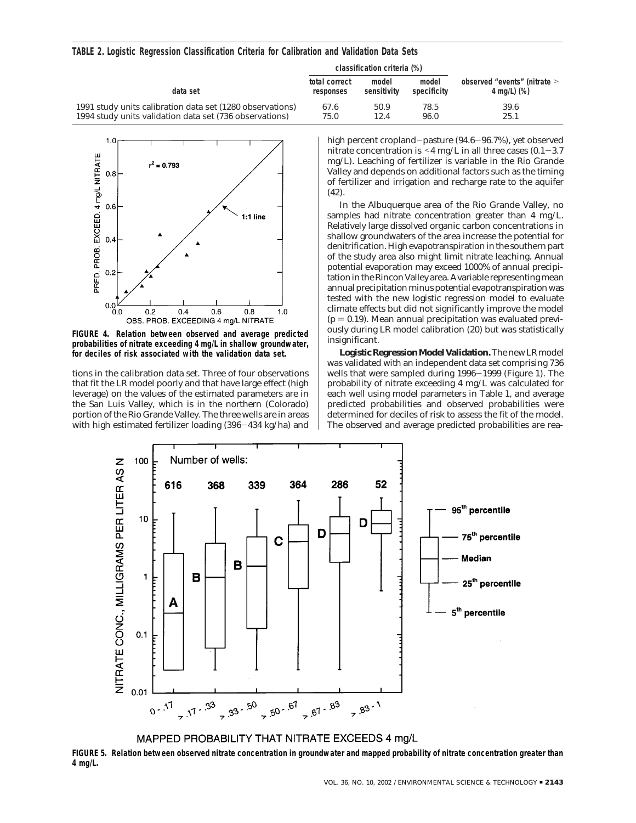|  | TABLE 2. Logistic Regression Classification Criteria for Calibration and Validation Data Sets |  |  |  |  |
|--|-----------------------------------------------------------------------------------------------|--|--|--|--|
|  |                                                                                               |  |  |  |  |

|                                                           |               | Crassification Criteria (70) |             |                              |
|-----------------------------------------------------------|---------------|------------------------------|-------------|------------------------------|
| data set                                                  | total correct | model                        | model       | observed "events" (nitrate > |
|                                                           | responses     | sensitivity                  | specificity | 4 mg/L) (%)                  |
| 1991 study units calibration data set (1280 observations) | 67.6          | 50.9                         | 78.5        | 39.6                         |
| 1994 study units validation data set (736 observations)   | 75.0          | 12.4                         | 96.0        | 25.1                         |

**classification criteria (%)**



**FIGURE 4. Relation between observed and average predicted probabilities of nitrate exceeding 4 mg/L in shallow groundwater, for deciles of risk associated with the validation data set.**

tions in the calibration data set. Three of four observations that fit the LR model poorly and that have large effect (high leverage) on the values of the estimated parameters are in the San Luis Valley, which is in the northern (Colorado) portion of the Rio Grande Valley. The three wells are in areas with high estimated fertilizer loading (396-434 kg/ha) and high percent cropland-pasture (94.6-96.7%), yet observed nitrate concentration is  $\leq$ 4 mg/L in all three cases (0.1-3.7) mg/L). Leaching of fertilizer is variable in the Rio Grande Valley and depends on additional factors such as the timing of fertilizer and irrigation and recharge rate to the aquifer (*42*).

In the Albuquerque area of the Rio Grande Valley, no samples had nitrate concentration greater than 4 mg/L. Relatively large dissolved organic carbon concentrations in shallow groundwaters of the area increase the potential for denitrification. High evapotranspiration in the southern part of the study area also might limit nitrate leaching. Annual potential evaporation may exceed 1000% of annual precipitation in the Rincon Valley area. A variable representing mean annual precipitation minus potential evapotranspiration was tested with the new logistic regression model to evaluate climate effects but did not significantly improve the model  $(p = 0.19)$ . Mean annual precipitation was evaluated previously during LR model calibration (*20*) but was statistically insignificant.

**Logistic Regression Model Validation.**The new LR model was validated with an independent data set comprising 736 wells that were sampled during 1996-1999 (Figure 1). The probability of nitrate exceeding 4 mg/L was calculated for each well using model parameters in Table 1, and average predicted probabilities and observed probabilities were determined for deciles of risk to assess the fit of the model. The observed and average predicted probabilities are rea-



### MAPPED PROBABILITY THAT NITRATE EXCEEDS 4 mg/L

**FIGURE 5. Relation between observed nitrate concentration in groundwater and mapped probability of nitrate concentration greater than 4 mg/L.**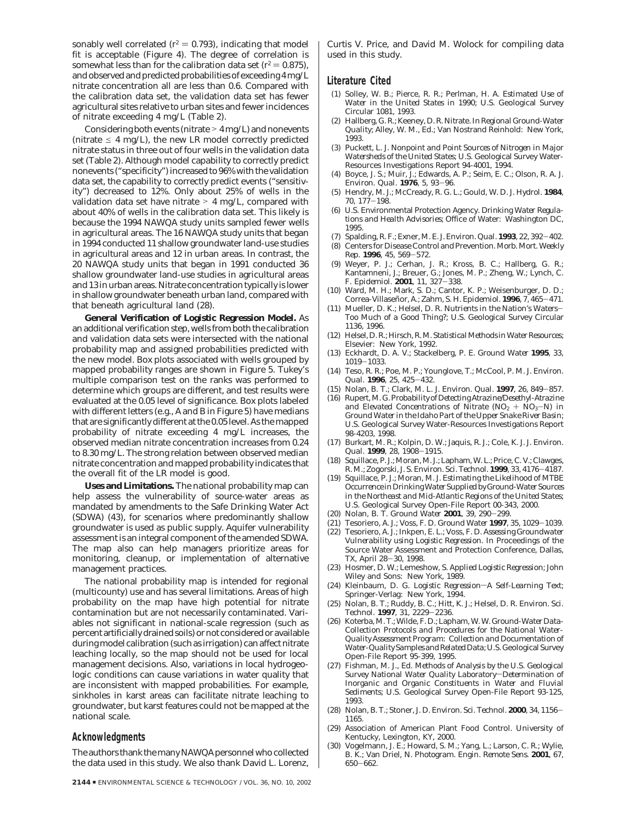sonably well correlated  $(r^2 = 0.793)$ , indicating that model fit is acceptable (Figure 4). The degree of correlation is somewhat less than for the calibration data set ( $r^2 = 0.875$ ), and observed and predicted probabilities of exceeding 4 mg/L nitrate concentration all are less than 0.6. Compared with the calibration data set, the validation data set has fewer agricultural sites relative to urban sites and fewer incidences of nitrate exceeding 4 mg/L (Table 2).

Considering both events (nitrate  $>4$  mg/L) and nonevents (nitrate  $\leq$  4 mg/L), the new LR model correctly predicted nitrate status in three out of four wells in the validation data set (Table 2). Although model capability to correctly predict nonevents ("specificity") increased to 96% with the validation data set, the capability to correctly predict events ("sensitivity") decreased to 12%. Only about 25% of wells in the validation data set have nitrate  $> 4$  mg/L, compared with about 40% of wells in the calibration data set. This likely is because the 1994 NAWQA study units sampled fewer wells in agricultural areas. The 16 NAWQA study units that began in 1994 conducted 11 shallow groundwater land-use studies in agricultural areas and 12 in urban areas. In contrast, the 20 NAWQA study units that began in 1991 conducted 36 shallow groundwater land-use studies in agricultural areas and 13 in urban areas. Nitrate concentration typically is lower in shallow groundwater beneath urban land, compared with that beneath agricultural land (*28*).

**General Verification of Logistic Regression Model.** As an additional verification step, wells from both the calibration and validation data sets were intersected with the national probability map and assigned probabilities predicted with the new model. Box plots associated with wells grouped by mapped probability ranges are shown in Figure 5. Tukey's multiple comparison test on the ranks was performed to determine which groups are different, and test results were evaluated at the 0.05 level of significance. Box plots labeled with different letters (e.g., A and B in Figure 5) have medians that are significantly different at the 0.05 level. As the mapped probability of nitrate exceeding 4 mg/L increases, the observed median nitrate concentration increases from 0.24 to 8.30 mg/L. The strong relation between observed median nitrate concentration and mapped probability indicates that the overall fit of the LR model is good.

**Uses and Limitations.** The national probability map can help assess the vulnerability of source-water areas as mandated by amendments to the Safe Drinking Water Act (SDWA) (*43*), for scenarios where predominantly shallow groundwater is used as public supply. Aquifer vulnerability assessment is an integral component of the amended SDWA. The map also can help managers prioritize areas for monitoring, cleanup, or implementation of alternative management practices.

The national probability map is intended for regional (multicounty) use and has several limitations. Areas of high probability on the map have high potential for nitrate contamination but are not necessarily contaminated. Variables not significant in national-scale regression (such as percent artificially drained soils) or not considered or available during model calibration (such as irrigation) can affect nitrate leaching locally, so the map should not be used for local management decisions. Also, variations in local hydrogeologic conditions can cause variations in water quality that are inconsistent with mapped probabilities. For example, sinkholes in karst areas can facilitate nitrate leaching to groundwater, but karst features could not be mapped at the national scale.

#### **Acknowledgments**

The authors thank the many NAWQA personnel who collected the data used in this study. We also thank David L. Lorenz,

#### **Literature Cited**

- (1) Solley, W. B.; Pierce, R. R.; Perlman, H. A. *Estimated Use of Water in the United States in 1990*; U.S. Geological Survey Circular 1081, 1993.
- (2) Hallberg, G. R.; Keeney, D. R. Nitrate. In *Regional Ground-Water Quality*; Alley, W. M., Ed.; Van Nostrand Reinhold: New York, 1993.
- (3) Puckett, L. J. *Nonpoint and Point Sources of Nitrogen in Major Watersheds of the United States*; U.S. Geological Survey Water-Resources Investigations Report 94-4001, 1994.
- (4) Boyce, J. S.; Muir, J.; Edwards, A. P.; Seim, E. C.; Olson, R. A. *J. Environ. Qual*. **<sup>1976</sup>**, *<sup>5</sup>*, 93-96.
- (5) Hendry, M. J.; McCready, R. G. L.; Gould, W. D. *J. Hydrol*. **1984**, *<sup>70</sup>*, 177-198.
- (6) U.S. Environmental Protection Agency. *Drinking Water Regulations and Health Advisories*; Office of Water: Washington DC, 1995.
- (7) Spalding, R. F.; Exner, M. E.*J. Environ. Qual*. **<sup>1993</sup>**, *<sup>22</sup>*, 392-402.
- (8) Centers for Disease Control and Prevention.*Morb. Mort. Weekly Rep*. **<sup>1996</sup>**, *<sup>45</sup>*, 569-572.
- (9) Weyer, P. J.; Cerhan, J. R.; Kross, B. C.; Hallberg, G. R.; Kantamneni, J.; Breuer, G.; Jones, M. P.; Zheng, W.; Lynch, C. F. *Epidemiol.* **<sup>2001</sup>**, *<sup>11</sup>*, 327-338. (10) Ward, M. H.; Mark, S. D.; Cantor, K. P.; Weisenburger, D. D.;
- Correa-Villasen˜or, A.; Zahm, S. H. *Epidemiol.* **<sup>1996</sup>**, *<sup>7</sup>*, 465-471.
- (11) Mueller, D. K.; Helsel, D. R. *Nutrients in the Nation's Waters*-*Too Much of a Good Thing?*; U.S. Geological Survey Circular 1136, 1996.
- (12) Helsel, D. R.; Hirsch, R. M. *Statistical Methods in Water Resources*; Elsevier: New York, 1992.
- (13) Eckhardt, D. A. V.; Stackelberg, P. E. *Ground Water* **1995**, *33*, <sup>1019</sup>-1033. (14) Teso, R. R.; Poe, M. P.; Younglove, T.; McCool, P. M. *J. Environ.*
- *Qual.* **<sup>1996</sup>**, *<sup>25</sup>*, 425-432.
- (15) Nolan, B. T.; Clark, M. L. *J. Environ. Qual*. **<sup>1997</sup>**, *<sup>26</sup>*, 849-857. (16) Rupert, M. G. *Probability of Detecting Atrazine/Desethyl-Atrazine* and Elevated Concentrations of Nitrate  $(NO_2 + NO_3 - N)$  in *Ground Water in the Idaho Part of the Upper Snake River Basin*; U.S. Geological Survey Water-Resources Investigations Report 98-4203, 1998.
- (17) Burkart, M. R.; Kolpin, D. W.; Jaquis, R. J.; Cole, K. J. *J. Environ. Qual*. **<sup>1999</sup>**, *<sup>28</sup>*, 1908-1915.
- (18) Squillace, P. J.; Moran, M. J.; Lapham, W. L.; Price, C. V.; Clawges, R. M.; Zogorski, J. S. *Environ. Sci. Technol*. **<sup>1999</sup>**, *<sup>33</sup>*, 4176-4187.
- (19) Squillace, P. J.; Moran, M. J. *Estimating the Likelihood of MTBE Occurrence in Drinking Water Supplied by Ground-Water Sources in the Northeast and Mid-Atlantic Regions of the United States*; U.S. Geological Survey Open-File Report 00-343, 2000.
- (20) Nolan, B. T. *Ground Water* **<sup>2001</sup>**, *<sup>39</sup>*, 290-299.
- (21) Tesoriero, A. J.; Voss, F. D. *Ground Water* **<sup>1997</sup>**, *<sup>35</sup>*, 1029-1039. (22) Tesoriero, A. J.; Inkpen, E. L.; Voss, F. D. *Assessing Groundwater Vulnerability using Logistic Regression*. *In* Proceedings of the Source Water Assessment and Protection Conference, Dallas, TX, April 28-30, 1998.
- (23) Hosmer, D. W.; Lemeshow, S. *Applied Logistic Regression*; John Wiley and Sons: New York, 1989.
- (24) Kleinbaum, D. G. *Logistic Regression*-A Self-Learning Text; Springer-Verlag: New York, 1994.
- (25) Nolan, B. T.; Ruddy, B. C.; Hitt, K. J.; Helsel, D. R. *Environ. Sci. Technol*. **<sup>1997</sup>**, *<sup>31</sup>*, 2229-2236.
- (26) Koterba, M. T.; Wilde, F. D.; Lapham, W. W. *Ground-Water Data-Collection Protocols and Procedures for the National Water-Quality Assessment Program: Collection and Documentation of Water-Quality Samples and Related Data*; U.S. Geological Survey Open-File Report 95-399, 1995.
- (27) Fishman, M. J., Ed. *Methods of Analysis by the U.S. Geological* Survey National Water Quality Laboratory-Determination of *Inorganic and Organic Constituents in Water and Fluvial Sediments*; U.S. Geological Survey Open-File Report 93-125, 1993.
- (28) Nolan, B. T.; Stoner, J. D. *Environ. Sci. Technol*. **<sup>2000</sup>**, *<sup>34</sup>*, 1156- 1165.
- (29) Association of American Plant Food Control. University of Kentucky, Lexington, KY, 2000.
- (30) Vogelmann, J. E.; Howard, S. M.; Yang, L.; Larson, C. R.; Wylie, B. K.; Van Driel, N. *Photogram. Engin. Remote Sens.* **2001**, *67*, <sup>650</sup>-662.